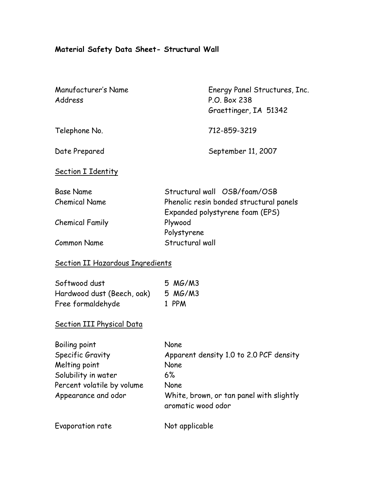# **Material Safety Data Sheet- Structural Wall**

| Manufacturer's Name<br>Address                                                                                                 | Energy Panel Structures, Inc.<br>P.O. Box 238<br>Graettinger, IA 51342                                                                  |  |
|--------------------------------------------------------------------------------------------------------------------------------|-----------------------------------------------------------------------------------------------------------------------------------------|--|
| Telephone No.                                                                                                                  | 712-859-3219                                                                                                                            |  |
| Date Prepared                                                                                                                  | September 11, 2007                                                                                                                      |  |
| <b>Section I Identity</b>                                                                                                      |                                                                                                                                         |  |
| <b>Base Name</b><br><b>Chemical Name</b>                                                                                       | Structural wall OSB/foam/OSB<br>Phenolic resin bonded structural panels<br>Expanded polystyrene foam (EPS)<br>Plywood<br>Polystyrene    |  |
| <b>Chemical Family</b>                                                                                                         |                                                                                                                                         |  |
| <b>Common Name</b>                                                                                                             | Structural wall                                                                                                                         |  |
| <b>Section II Hazardous Ingredients</b>                                                                                        |                                                                                                                                         |  |
| Softwood dust<br>Hardwood dust (Beech, oak)<br>Free formaldehyde                                                               | 5 MG/M3<br>5 MG/M3<br>1 PPM                                                                                                             |  |
| <b>Section III Physical Data</b>                                                                                               |                                                                                                                                         |  |
| Boiling point<br>Specific Gravity<br>Melting point<br>Solubility in water<br>Percent volatile by volume<br>Appearance and odor | None<br>Apparent density 1.0 to 2.0 PCF density<br>None<br>6%<br>None<br>White, brown, or tan panel with slightly<br>aromatic wood odor |  |
| Evaporation rate                                                                                                               | Not applicable                                                                                                                          |  |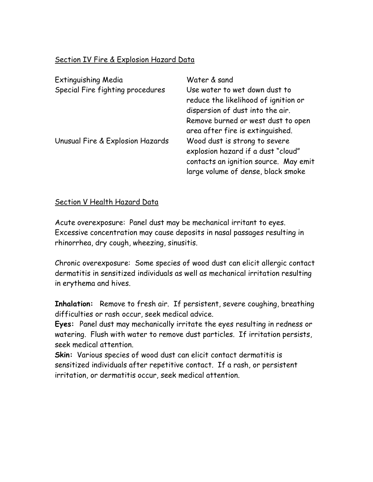## Section IV Fire & Explosion Hazard Data

| <b>Extinguishing Media</b><br>Special Fire fighting procedures | Water & sand<br>Use water to wet down dust to<br>reduce the likelihood of ignition or<br>dispersion of dust into the air.                          |
|----------------------------------------------------------------|----------------------------------------------------------------------------------------------------------------------------------------------------|
|                                                                | Remove burned or west dust to open<br>area after fire is extinguished.                                                                             |
| Unusual Fire & Explosion Hazards                               | Wood dust is strong to severe<br>explosion hazard if a dust "cloud"<br>contacts an ignition source. May emit<br>large volume of dense, black smoke |

## Section V Health Hazard Data

Acute overexposure: Panel dust may be mechanical irritant to eyes. Excessive concentration may cause deposits in nasal passages resulting in rhinorrhea, dry cough, wheezing, sinusitis.

Chronic overexposure: Some species of wood dust can elicit allergic contact dermatitis in sensitized individuals as well as mechanical irritation resulting in erythema and hives.

**Inhalation:** Remove to fresh air. If persistent, severe coughing, breathing difficulties or rash occur, seek medical advice.

**Eyes:** Panel dust may mechanically irritate the eyes resulting in redness or watering. Flush with water to remove dust particles. If irritation persists, seek medical attention.

**Skin:** Various species of wood dust can elicit contact dermatitis is sensitized individuals after repetitive contact. If a rash, or persistent irritation, or dermatitis occur, seek medical attention.